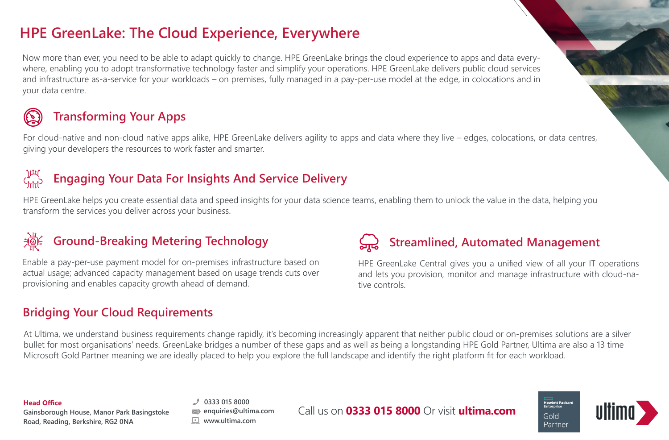## **HPE GreenLake: The Cloud Experience, Everywhere**

Now more than ever, you need to be able to adapt quickly to change. HPE GreenLake brings the cloud experience to apps and data everywhere, enabling you to adopt transformative technology faster and simplify your operations. HPE GreenLake delivers public cloud services and infrastructure as-a-service for your workloads – on premises, fully managed in a pay-per-use model at the edge, in colocations and in your data centre.

# **Transforming Your Apps**

For cloud-native and non-cloud native apps alike, HPE GreenLake delivers agility to apps and data where they live – edges, colocations, or data centres, giving your developers the resources to work faster and smarter.

## **Engaging Your Data For Insights And Service Delivery**

HPE GreenLake helps you create essential data and speed insights for your data science teams, enabling them to unlock the value in the data, helping you transform the services you deliver across your business.

## **Ground-Breaking Metering Technology**

Enable a pay-per-use payment model for on-premises infrastructure based on actual usage; advanced capacity management based on usage trends cuts over provisioning and enables capacity growth ahead of demand.

## **Bridging Your Cloud Requirements**

# **Streamlined, Automated Management**

HPE GreenLake Central gives you a unified view of all your IT operations and lets you provision, monitor and manage infrastructure with cloud-native controls.

At Ultima, we understand business requirements change rapidly, it's becoming increasingly apparent that neither public cloud or on-premises solutions are a silver bullet for most organisations' needs. GreenLake bridges a number of these gaps and as well as being a longstanding HPE Gold Partner, Ultima are also a 13 time Microsoft Gold Partner meaning we are ideally placed to help you explore the full landscape and identify the right platform fit for each workload.

## **Head Office**

**Gainsborough House, Manor Park Basingstoke Road, Reading, Berkshire, RG2 0NA**

**0333 015 8000 enquiries@ultima.com www.ultima.com**

Call us on **0333 015 8000** Or visit **ultima.com**